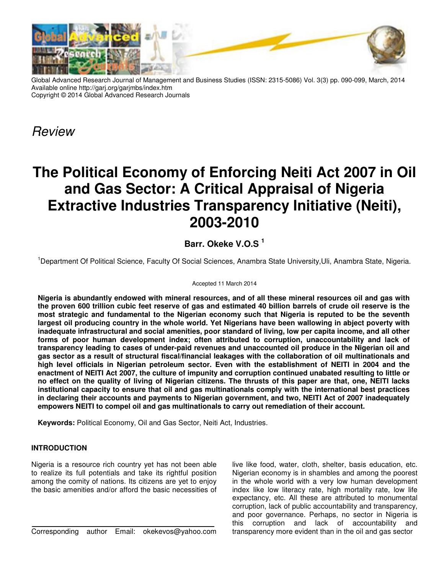

Global Advanced Research Journal of Management and Business Studies (ISSN: 2315-5086) Vol. 3(3) pp. 090-099, March, 2014 Available online http://garj.org/garjmbs/index.htm Copyright © 2014 Global Advanced Research Journals

*Review*

# **The Political Economy of Enforcing Neiti Act 2007 in Oil and Gas Sector: A Critical Appraisal of Nigeria Extractive Industries Transparency Initiative (Neiti), 2003-2010**

## **Barr. Okeke V.O.S <sup>1</sup>**

<sup>1</sup>Department Of Political Science, Faculty Of Social Sciences, Anambra State University,Uli, Anambra State, Nigeria.

#### Accepted 11 March 2014

**Nigeria is abundantly endowed with mineral resources, and of all these mineral resources oil and gas with the proven 600 trillion cubic feet reserve of gas and estimated 40 billion barrels of crude oil reserve is the most strategic and fundamental to the Nigerian economy such that Nigeria is reputed to be the seventh largest oil producing country in the whole world. Yet Nigerians have been wallowing in abject poverty with inadequate infrastructural and social amenities, poor standard of living, low per capita income, and all other forms of poor human development index; often attributed to corruption, unaccountability and lack of transparency leading to cases of under-paid revenues and unaccounted oil produce in the Nigerian oil and gas sector as a result of structural fiscal/financial leakages with the collaboration of oil multinationals and high level officials in Nigerian petroleum sector. Even with the establishment of NEITI in 2004 and the enactment of NEITI Act 2007, the culture of impunity and corruption continued unabated resulting to little or no effect on the quality of living of Nigerian citizens. The thrusts of this paper are that, one, NEITI lacks institutional capacity to ensure that oil and gas multinationals comply with the international best practices in declaring their accounts and payments to Nigerian government, and two, NEITI Act of 2007 inadequately empowers NEITI to compel oil and gas multinationals to carry out remediation of their account.** 

**Keywords:** Political Economy, Oil and Gas Sector, Neiti Act, Industries.

### **INTRODUCTION**

Nigeria is a resource rich country yet has not been able to realize its full potentials and take its rightful position among the comity of nations. Its citizens are yet to enjoy the basic amenities and/or afford the basic necessities of

Corresponding author Email: okekevos@yahoo.com

live like food, water, cloth, shelter, basis education, etc. Nigerian economy is in shambles and among the poorest in the whole world with a very low human development index like low literacy rate, high mortality rate, low life expectancy, etc. All these are attributed to monumental corruption, lack of public accountability and transparency, and poor governance. Perhaps, no sector in Nigeria is this corruption and lack of accountability and transparency more evident than in the oil and gas sector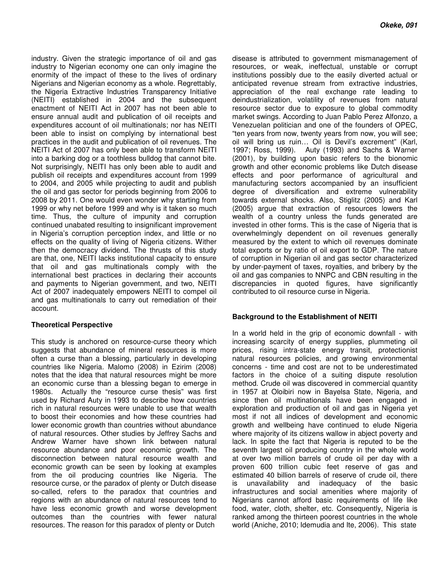industry. Given the strategic importance of oil and gas industry to Nigerian economy one can only imagine the enormity of the impact of these to the lives of ordinary Nigerians and Nigerian economy as a whole. Regrettably, the Nigeria Extractive Industries Transparency Initiative (NEITI) established in 2004 and the subsequent enactment of NEITI Act in 2007 has not been able to ensure annual audit and publication of oil receipts and expenditures account of oil multinationals; nor has NEITI been able to insist on complying by international best practices in the audit and publication of oil revenues. The NEITI Act of 2007 has only been able to transform NEITI into a barking dog or a toothless bulldog that cannot bite. Not surprisingly, NEITI has only been able to audit and publish oil receipts and expenditures account from 1999 to 2004, and 2005 while projecting to audit and publish the oil and gas sector for periods beginning from 2006 to 2008 by 2011. One would even wonder why starting from 1999 or why net before 1999 and why is it taken so much time. Thus, the culture of impunity and corruption continued unabated resulting to insignificant improvement in Nigeria's corruption perception index, and little or no effects on the quality of living of Nigeria citizens. Wither then the democracy dividend. The thrusts of this study are that, one, NEITI lacks institutional capacity to ensure that oil and gas multinationals comply with the international best practices in declaring their accounts and payments to Nigerian government, and two, NEITI Act of 2007 inadequately empowers NEITI to compel oil and gas multinationals to carry out remediation of their account.

#### **Theoretical Perspective**

This study is anchored on resource-curse theory which suggests that abundance of mineral resources is more often a curse than a blessing, particularly in developing countries like Nigeria. Malomo (2008) in Ezirim (2008) notes that the idea that natural resources might be more an economic curse than a blessing began to emerge in 1980s. Actually the "resource curse thesis" was first used by Richard Auty in 1993 to describe how countries rich in natural resources were unable to use that wealth to boost their economies and how these countries had lower economic growth than countries without abundance of natural resources. Other studies by Jeffrey Sachs and Andrew Warner have shown link between natural resource abundance and poor economic growth. The disconnection between natural resource wealth and economic growth can be seen by looking at examples from the oil producing countries like Nigeria. The resource curse, or the paradox of plenty or Dutch disease so-called, refers to the paradox that countries and regions with an abundance of natural resources tend to have less economic growth and worse development outcomes than the countries with fewer natural resources. The reason for this paradox of plenty or Dutch

disease is attributed to government mismanagement of resources, or weak, ineffectual, unstable or corrupt institutions possibly due to the easily diverted actual or anticipated revenue stream from extractive industries, appreciation of the real exchange rate leading to deindustrialization, volatility of revenues from natural resource sector due to exposure to global commodity market swings. According to Juan Pablo Perez Alfonzo, a Venezuelan politician and one of the founders of OPEC, "ten years from now, twenty years from now, you will see; oil will bring us ruin… Oil is Devil's excrement" (Karl, 1997; Ross, 1999). Auty (1993) and Sachs & Warner (2001), by building upon basic refers to the bionomic growth and other economic problems like Dutch disease effects and poor performance of agricultural and manufacturing sectors accompanied by an insufficient degree of diversification and extreme vulnerability towards external shocks. Also, Stiglitz (2005) and Karl (2005) argue that extraction of resources lowers the wealth of a country unless the funds generated are invested in other forms. This is the case of Nigeria that is overwhelmingly dependent on oil revenues generally measured by the extent to which oil revenues dominate total exports or by ratio of oil export to GDP. The nature of corruption in Nigerian oil and gas sector characterized by under-payment of taxes, royalties, and bribery by the oil and gas companies to NNPC and CBN resulting in the discrepancies in quoted figures, have significantly contributed to oil resource curse in Nigeria.

#### **Background to the Establishment of NEITI**

In a world held in the grip of economic downfall - with increasing scarcity of energy supplies, plummeting oil prices, rising intra-state energy transit, protectionist natural resources policies, and growing environmental concerns - time and cost are not to be underestimated factors in the choice of a suiting dispute resolution method. Crude oil was discovered in commercial quantity in 1957 at Oloibiri now in Bayelsa State, Nigeria, and since then oil multinationals have been engaged in exploration and production of oil and gas in Nigeria yet most if not all indices of development and economic growth and wellbeing have continued to elude Nigeria where majority of its citizens wallow in abject poverty and lack. In spite the fact that Nigeria is reputed to be the seventh largest oil producing country in the whole world at over two million barrels of crude oil per day with a proven 600 trillion cubic feet reserve of gas and estimated 40 billion barrels of reserve of crude oil, there is unavailability and inadequacy of the basic infrastructures and social amenities where majority of Nigerians cannot afford basic requirements of life like food, water, cloth, shelter, etc. Consequently, Nigeria is ranked among the thirteen poorest countries in the whole world (Aniche, 2010; Idemudia and Ite, 2006). This state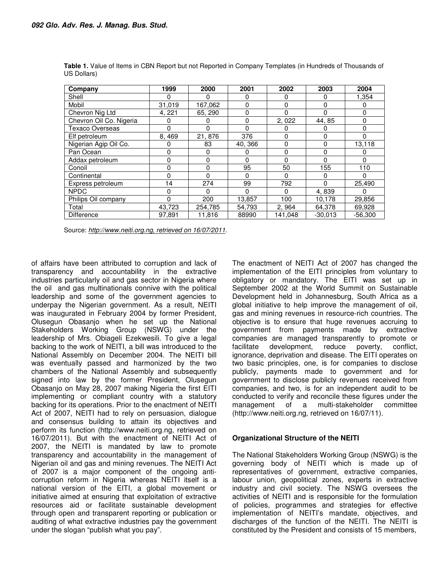| Company                 | 1999   | 2000     | 2001     | 2002     | 2003         | 2004      |
|-------------------------|--------|----------|----------|----------|--------------|-----------|
| Shell                   | 0      | 0        | 0        | 0        | 0            | 1,354     |
| Mobil                   | 31,019 | 167,062  | 0        | $\Omega$ | 0            | 0         |
| Chevron Nig Ltd         | 4, 221 | 65, 290  | $\Omega$ | $\Omega$ |              | 0         |
| Chevron Oil Co. Nigeria | 0      | 0        | $\Omega$ | 2,022    | 44, 85       | 0         |
| <b>Texaco Overseas</b>  | 0      | 0        | $\Omega$ | 0        | 0            | 0         |
| Elf petroleum           | 8,469  | 21,876   | 376      | $\Omega$ | <sup>0</sup> | 0         |
| Nigerian Agip Oil Co.   | 0      | 83       | 40, 366  | $\Omega$ | 0            | 13,118    |
| Pan Ocean               | 0      | 0        | 0        | 0        | 0            | 0         |
| Addax petroleum         | 0      | 0        | $\Omega$ | $\Omega$ | 0            | $\Omega$  |
| Conoil                  | 0      | $\Omega$ | 95       | 50       | 155          | 110       |
| Continental             | 0      | $\Omega$ | $\Omega$ | $\Omega$ | $\Omega$     | 0         |
| Express petroleum       | 14     | 274      | 99       | 792      | $\Omega$     | 25,490    |
| <b>NPDC</b>             | 0      | $\Omega$ | 0        | $\Omega$ | 4,839        |           |
| Philips Oil company     | 0      | 200      | 13,857   | 100      | 10,178       | 29,856    |
| Total                   | 43,723 | 254,785  | 54,793   | 2, 964   | 64,378       | 69,928    |
| <b>Difference</b>       | 97.891 | 11,816   | 88990    | 141.048  | $-30,013$    | $-56.300$ |

**Table 1.** Value of Items in CBN Report but not Reported in Company Templates (in Hundreds of Thousands of US Dollars)

Source: *http://www.neiti.org.ng, retrieved on 16/07/2011.*

of affairs have been attributed to corruption and lack of transparency and accountability in the extractive industries particularly oil and gas sector in Nigeria where the oil and gas multinationals connive with the political leadership and some of the government agencies to underpay the Nigerian government. As a result, NEITI was inaugurated in February 2004 by former President, Olusegun Obasanjo when he set up the National Stakeholders Working Group (NSWG) under the leadership of Mrs. Obiageli Ezekwesili. To give a legal backing to the work of NEITI, a bill was introduced to the National Assembly on December 2004. The NEITI bill was eventually passed and harmonized by the two chambers of the National Assembly and subsequently signed into law by the former President, Olusegun Obasanjo on May 28, 2007 making Nigeria the first EITI implementing or compliant country with a statutory backing for its operations. Prior to the enactment of NEITI Act of 2007, NEITI had to rely on persuasion, dialogue and consensus building to attain its objectives and perform its function (http://www.neiti.org.ng, retrieved on 16/07/2011). But with the enactment of NEITI Act of 2007, the NEITI is mandated by law to promote transparency and accountability in the management of Nigerian oil and gas and mining revenues. The NEITI Act of 2007 is a major component of the ongoing anticorruption reform in Nigeria whereas NEITI itself is a national version of the EITI, a global movement or initiative aimed at ensuring that exploitation of extractive resources aid or facilitate sustainable development through open and transparent reporting or publication or auditing of what extractive industries pay the government under the slogan "publish what you pay".

The enactment of NEITI Act of 2007 has changed the implementation of the EITI principles from voluntary to obligatory or mandatory. The EITI was set up in September 2002 at the World Summit on Sustainable Development held in Johannesburg, South Africa as a global initiative to help improve the management of oil, gas and mining revenues in resource-rich countries. The objective is to ensure that huge revenues accruing to government from payments made by extractive companies are managed transparently to promote or facilitate development, reduce poverty, conflict, ignorance, deprivation and disease. The EITI operates on two basic principles, one, is for companies to disclose publicly, payments made to government and for government to disclose publicly revenues received from companies, and two, is for an independent audit to be conducted to verify and reconcile these figures under the management of a multi-stakeholder committee (http://www.neiti.org.ng, retrieved on 16/07/11).

### **Organizational Structure of the NEITI**

The National Stakeholders Working Group (NSWG) is the governing body of NEITI which is made up of representatives of government, extractive companies, labour union, geopolitical zones, experts in extractive industry and civil society. The NSWG oversees the activities of NEITI and is responsible for the formulation of policies, programmes and strategies for effective implementation of NEITI's mandate, objectives, and discharges of the function of the NEITI. The NEITI is constituted by the President and consists of 15 members,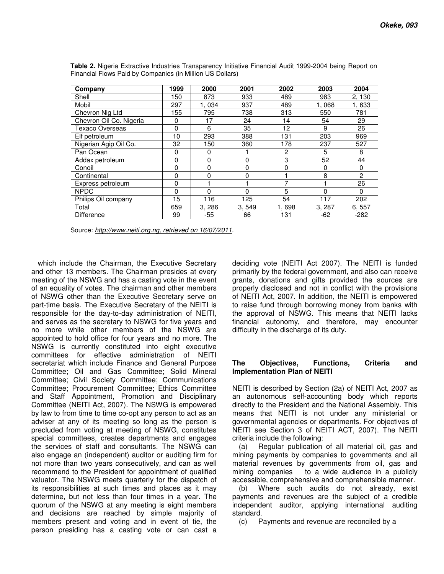| Company                 | 1999     | 2000     | 2001     | 2002           | 2003   | 2004           |
|-------------------------|----------|----------|----------|----------------|--------|----------------|
| Shell                   | 150      | 873      | 933      | 489            | 983    | 2, 130         |
| Mobil                   | 297      | 1,034    | 937      | 489            | 1,068  | 1,633          |
| Chevron Nig Ltd         | 155      | 795      | 738      | 313            | 550    | 781            |
| Chevron Oil Co. Nigeria | 0        | 17       | 24       | 14             | 54     | 29             |
| Texaco Overseas         | 0        | 6        | 35       | 12             | 9      | 26             |
| Elf petroleum           | 10       | 293      | 388      | 131            | 203    | 969            |
| Nigerian Agip Oil Co.   | 32       | 150      | 360      | 178            | 237    | 527            |
| Pan Ocean               | 0        | 0        |          | $\overline{c}$ | 5      | 8              |
| Addax petroleum         | 0        | 0        | 0        | 3              | 52     | 44             |
| Conoil                  | 0        | 0        | $\Omega$ | 0              | 0      | 0              |
| Continental             | 0        | $\Omega$ | $\Omega$ |                | 8      | $\overline{2}$ |
| Express petroleum       | 0        |          |          | 7              |        | 26             |
| <b>NPDC</b>             | $\Omega$ | 0        | $\Omega$ | 5              | 0      | $\Omega$       |
| Philips Oil company     | 15       | 116      | 125      | 54             | 117    | 202            |
| Total                   | 659      | 3, 286   | 3, 549   | 1,698          | 3, 287 | 6, 557         |
| Difference              | 99       | -55      | 66       | 131            | $-62$  | $-282$         |

**Table 2.** Nigeria Extractive Industries Transparency Initiative Financial Audit 1999-2004 being Report on Financial Flows Paid by Companies (in Million US Dollars)

Source: *http://www.neiti.org.ng, retrieved on 16/07/2011.*

which include the Chairman, the Executive Secretary and other 13 members. The Chairman presides at every meeting of the NSWG and has a casting vote in the event of an equality of votes. The chairman and other members of NSWG other than the Executive Secretary serve on part-time basis. The Executive Secretary of the NEITI is responsible for the day-to-day administration of NEITI, and serves as the secretary to NSWG for five years and no more while other members of the NSWG are appointed to hold office for four years and no more. The NSWG is currently constituted into eight executive committees for effective administration of NEITI secretariat which include Finance and General Purpose Committee; Oil and Gas Committee; Solid Mineral Committee; Civil Society Committee; Communications Committee; Procurement Committee; Ethics Committee and Staff Appointment, Promotion and Disciplinary Committee (NEITI Act, 2007). The NSWG is empowered by law to from time to time co-opt any person to act as an adviser at any of its meeting so long as the person is precluded from voting at meeting of NSWG, constitutes special committees, creates departments and engages the services of staff and consultants. The NSWG can also engage an (independent) auditor or auditing firm for not more than two years consecutively, and can as well recommend to the President for appointment of qualified valuator. The NSWG meets quarterly for the dispatch of its responsibilities at such times and places as it may determine, but not less than four times in a year. The quorum of the NSWG at any meeting is eight members and decisions are reached by simple majority of members present and voting and in event of tie, the person presiding has a casting vote or can cast a

deciding vote (NEITI Act 2007). The NEITI is funded primarily by the federal government, and also can receive grants, donations and gifts provided the sources are properly disclosed and not in conflict with the provisions of NEITI Act, 2007. In addition, the NEITI is empowered to raise fund through borrowing money from banks with the approval of NSWG. This means that NEITI lacks financial autonomy, and therefore, may encounter difficulty in the discharge of its duty.

#### **The Objectives, Functions, Criteria and Implementation Plan of NEITI**

NEITI is described by Section (2a) of NEITI Act, 2007 as an autonomous self-accounting body which reports directly to the President and the National Assembly. This means that NEITI is not under any ministerial or governmental agencies or departments. For objectives of NEITI see Section 3 of NEITI ACT, 2007). The NEITI criteria include the following:

(a) Regular publication of all material oil, gas and mining payments by companies to governments and all material revenues by governments from oil, gas and mining companies to a wide audience in a publicly accessible, comprehensive and comprehensible manner.

(b) Where such audits do not already, exist payments and revenues are the subject of a credible independent auditor, applying international auditing standard.

(c) Payments and revenue are reconciled by a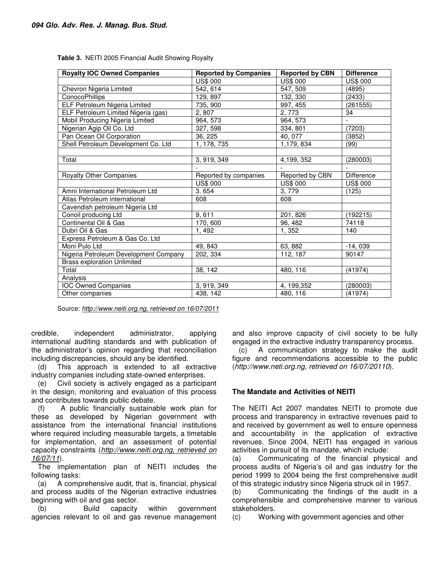| <b>Royalty IOC Owned Companies</b>    | <b>Reported by Companies</b> | <b>Reported by CBN</b> | <b>Difference</b> |
|---------------------------------------|------------------------------|------------------------|-------------------|
|                                       | <b>US\$ 000</b>              | <b>US\$ 000</b>        | <b>US\$ 000</b>   |
| Chevron Nigeria Limited               | 542, 614                     | 547, 509               | (4895)            |
| <b>ConocoPhillips</b>                 | 129, 897                     | 132, 330               | (2433)            |
| ELF Petroleum Nigeria Limited         | 735, 900                     | 997, 455               | (261555)          |
| ELF Petroleum Limited Nigeria (gas)   | 2,807                        | 2,773                  | 34                |
| Mobil Producing Nigeria Limited       | 964, 573                     | 964, 573               |                   |
| Nigerian Agip Oil Co. Ltd             | 327, 598                     | 334, 801               | (7203)            |
| Pan Ocean Oil Corporation             | 36, 225                      | 40, 077                | (3852)            |
| Shell Petroleum Development Co. Ltd   | 1, 178, 735                  | 1,179,834              | (99)              |
|                                       |                              |                        |                   |
| Total                                 | 3, 919, 349                  | 4,199, 352             | (280003)          |
|                                       |                              |                        |                   |
| Royalty Other Companies               | Reported by companies        | Reported by CBN        | <b>Difference</b> |
|                                       | <b>US\$ 000</b>              | <b>US\$ 000</b>        | <b>US\$ 000</b>   |
| Amni International Petroleum Ltd      | 3.654                        | 3,779                  | (125)             |
| Atlas Petroleum international         | 608                          | 608                    |                   |
| Cavendish petroleum Nigeria Ltd       |                              |                        |                   |
| Conoil producing Ltd                  | 9,611                        | 201, 826               | (192215)          |
| Continental Oil & Gas                 | 170, 600                     | 96, 482                | 74118             |
| Dubri Oil & Gas                       | 1,492                        | 1,352                  | 140               |
| Express Petroleum & Gas Co. Ltd       |                              |                        |                   |
| Moni Pulo Ltd                         | 49, 843                      | 63, 882                | $-14,039$         |
| Nigeria Petroleum Development Company | 202, 334                     | 112, 187               | 90147             |
| <b>Brass exploration Unlimited</b>    |                              |                        |                   |
| Total                                 | 38, 142                      | 480, 116               | (41974)           |
| Analysis                              |                              |                        |                   |
| <b>IOC Owned Companies</b>            | 3, 919, 349                  | 4, 199, 352            | (280003)          |
| Other companies                       | 438, 142                     | 480, 116               | (41974)           |

**Table 3.** NEITI 2005 Financial Audit Showing Royalty

Source: *http://www.neiti.org.ng, retrieved on 16/07/2011*

credible, independent administrator, applying international auditing standards and with publication of the administrator's opinion regarding that reconciliation including discrepancies, should any be identified.

(d) This approach is extended to all extractive industry companies including state-owned enterprises.

(e) Civil society is actively engaged as a participant in the design, monitoring and evaluation of this process and contributes towards public debate.

(f) A public financially sustainable work plan for these as developed by Nigerian government with assistance from the international financial institutions where required including measurable targets, a timetable for implementation, and an assessment of potential capacity constraints (*http://www.neiti.org.ng, retrieved on 16/07/11*).

The implementation plan of NEITI includes the following tasks:

(a) A comprehensive audit, that is, financial, physical and process audits of the Nigerian extractive industries beginning with oil and gas sector.

(b) Build capacity within government agencies relevant to oil and gas revenue management and also improve capacity of civil society to be fully engaged in the extractive industry transparency process.

(c) A communication strategy to make the audit figure and recommendations accessible to the public (*http://www.neti.org.ng, retrieved on 16/07/20110*).

#### **The Mandate and Activities of NEITI**

The NEITI Act 2007 mandates NEITI to promote due process and transparency in extractive revenues paid to and received by government as well to ensure openness and accountability in the application of extractive revenues. Since 2004, NEITI has engaged in various activities in pursuit of its mandate, which include:

(a) Communicating of the financial physical and process audits of Nigeria's oil and gas industry for the period 1999 to 2004 being the first comprehensive audit of this strategic industry since Nigeria struck oil in 1957.

(b) Communicating the findings of the audit in a comprehensible and comprehensive manner to various stakeholders.

(c) Working with government agencies and other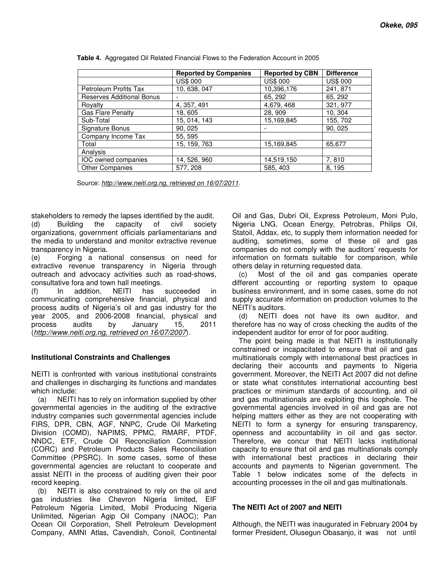|                                  | <b>Reported by Companies</b> | <b>Reported by CBN</b> | <b>Difference</b> |
|----------------------------------|------------------------------|------------------------|-------------------|
|                                  | <b>US\$ 000</b>              | <b>US\$ 000</b>        | <b>US\$ 000</b>   |
| Petroleum Profits Tax            | 10, 638, 047                 | 10,396,176             | 241, 871          |
| <b>Reserves Additional Bonus</b> |                              | 65, 292                | 65, 292           |
| Rovalty                          | 4, 357, 491                  | 4,679, 468             | 321, 977          |
| <b>Gas Flare Penalty</b>         | 18, 605                      | 28, 909                | 10, 304           |
| Sub-Total                        | 15, 014, 143                 | 15,169,845             | 155, 702          |
| Signature Bonus                  | 90, 025                      |                        | 90, 025           |
| Company Income Tax               | 55, 595                      |                        |                   |
| Total                            | 15, 159, 763                 | 15,169,845             | 65,677            |
| Analysis                         |                              |                        |                   |
| IOC owned companies              | 14, 526, 960                 | 14,519,150             | 7,810             |
| <b>Other Companies</b>           | 577, 208                     | 585, 403               | 8, 195            |

**Table 4.** Aggregated Oil Related Financial Flows to the Federation Account in 2005

Source: *http://www.neiti.org.ng, retrieved on 16/07/2011.*

stakeholders to remedy the lapses identified by the audit. (d) Building the capacity of civil society organizations, government officials parliamentarians and the media to understand and monitor extractive revenue transparency in Nigeria.

(e) Forging a national consensus on need for extractive revenue transparency in Nigeria through outreach and advocacy activities such as road-shows, consultative fora and town hall meetings.

(f) In addition, NEITI has succeeded in communicating comprehensive financial, physical and process audits of Nigeria's oil and gas industry for the year 2005, and 2006-2008 financial, physical and process audits by January 15, 2011 (*http://www.neiti.org.ng, retrieved on 16/07/2007*).

#### **Institutional Constraints and Challenges**

NEITI is confronted with various institutional constraints and challenges in discharging its functions and mandates which include:

(a) NEITI has to rely on information supplied by other governmental agencies in the auditing of the extractive industry companies such governmental agencies include FIRS, DPR, CBN, AGF, NNPC, Crude Oil Marketing Division (COMD), NAPIMS, PPMC, RMARF, PTDF, NNDC, ETF, Crude Oil Reconciliation Commission (CORC) and Petroleum Products Sales Reconciliation Committee (PPSRC). In some cases, some of these governmental agencies are reluctant to cooperate and assist NEITI in the process of auditing given their poor record keeping.

(b) NEITI is also constrained to rely on the oil and gas industries like Chevron Nigeria limited, EIF Petroleum Nigeria Limited, Mobil Producing Nigeria Unlimited, Nigerian Agip Oil Company (NAOC); Pan Ocean Oil Corporation, Shell Petroleum Development Company, AMNI Atlas, Cavendish, Conoil, Continental Oil and Gas, Dubri Oil, Express Petroleum, Moni Pulo, Nigeria LNG, Ocean Energy, Petrobras, Philips Oil, Statoil, Addax, etc, to supply them information needed for auditing, sometimes, some of these oil and gas companies do not comply with the auditors' requests for information on formats suitable for comparison, while others delay in returning requested data.

(c) Most of the oil and gas companies operate different accounting or reporting system to opaque business environment, and in some cases, some do not supply accurate information on production volumes to the NEITI's auditors.

(d) NEITI does not have its own auditor, and therefore has no way of cross checking the audits of the independent auditor for error of for poor auditing.

The point being made is that NEITI is institutionally constrained or incapacitated to ensure that oil and gas multinationals comply with international best practices in declaring their accounts and payments to Nigeria government. Moreover, the NEITI Act 2007 did not define or state what constitutes international accounting best practices or minimum standards of accounting, and oil and gas multinationals are exploiting this loophole. The governmental agencies involved in oil and gas are not helping matters either as they are not cooperating with NEITI to form a synergy for ensuring transparency, openness and accountability in oil and gas sector. Therefore, we concur that NEITI lacks institutional capacity to ensure that oil and gas multinationals comply with international best practices in declaring their accounts and payments to Nigerian government. The Table 1 below indicates some of the defects in accounting processes in the oil and gas multinationals.

#### **The NEITI Act of 2007 and NEITI**

Although, the NEITI was inaugurated in February 2004 by former President, Olusegun Obasanjo, it was not until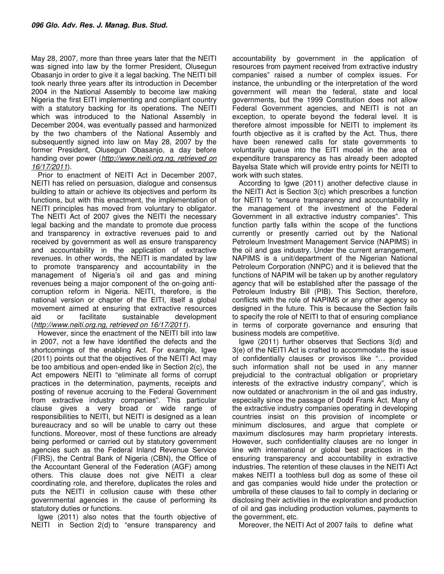May 28, 2007, more than three years later that the NEITI was signed into law by the former President, Olusegun Obasanjo in order to give it a legal backing. The NEITI bill took nearly three years after its introduction in December 2004 in the National Assembly to become law making Nigeria the first EITI implementing and compliant country with a statutory backing for its operations. The NEITI which was introduced to the National Assembly in December 2004, was eventually passed and harmonized by the two chambers of the National Assembly and subsequently signed into law on May 28, 2007 by the former President, Olusegun Obasanjo, a day before handing over power (*http://www.neiti.org.ng, retrieved on 16/17/2011*).

Prior to enactment of NEITI Act in December 2007, NEITI has relied on persuasion, dialogue and consensus building to attain or achieve its objectives and perform its functions, but with this enactment, the implementation of NEITI principles has moved from voluntary to obligator. The NEITI Act of 2007 gives the NEITI the necessary legal backing and the mandate to promote due process and transparency in extractive revenues paid to and received by government as well as ensure transparency and accountability in the application of extractive revenues. In other words, the NEITI is mandated by law to promote transparency and accountability in the management of Nigeria's oil and gas and mining revenues being a major component of the on-going anticorruption reform in Nigeria. NEITI, therefore, is the national version or chapter of the EITI, itself a global movement aimed at ensuring that extractive resources aid or facilitate sustainable development (*http://www.neiti.org.ng, retrieved on 16/17/2011*).

However, since the enactment of the NEITI bill into law in 2007, not a few have identified the defects and the shortcomings of the enabling Act. For example, Igwe (2011) points out that the objectives of the NEITI Act may be too ambitious and open-ended like in Section 2(c), the Act empowers NEITI to "eliminate all forms of corrupt practices in the determination, payments, receipts and posting of revenue accruing to the Federal Government from extractive industry companies". This particular clause gives a very broad or wide range of responsibilities to NEITI, but NEITI is designed as a lean bureaucracy and so will be unable to carry out these functions. Moreover, most of these functions are already being performed or carried out by statutory government agencies such as the Federal Inland Revenue Service (FIRS), the Central Bank of Nigeria (CBN), the Office of the Accountant General of the Federation (AGF) among others. This clause does not give NEITI a clear coordinating role, and therefore, duplicates the roles and puts the NEITI in collusion cause with these other governmental agencies in the cause of performing its statutory duties or functions.

Igwe (2011) also notes that the fourth objective of NEITI in Section 2(d) to "ensure transparency and

accountability by government in the application of resources from payment received from extractive industry companies" raised a number of complex issues. For instance, the unbundling or the interpretation of the word government will mean the federal, state and local governments, but the 1999 Constitution does not allow Federal Government agencies, and NEITI is not an exception, to operate beyond the federal level. It is therefore almost impossible for NEITI to implement its fourth objective as it is crafted by the Act. Thus, there have been renewed calls for state governments to voluntarily queue into the EITI model in the area of expenditure transparency as has already been adopted Bayelsa State which will provide entry points for NEITI to work with such states.

According to Igwe (2011) another defective clause in the NEITI Act is Section 3(c) which prescribes a function for NEITI to "ensure transparency and accountability in the management of the investment of the Federal Government in all extractive industry companies". This function partly falls within the scope of the functions currently or presently carried out by the National Petroleum Investment Management Service (NAPIMS) in the oil and gas industry. Under the current arrangement, NAPIMS is a unit/department of the Nigerian National Petroleum Corporation (NNPC) and it is believed that the functions of NAPIM will be taken up by another regulatory agency that will be established after the passage of the Petroleum Industry Bill (PIB). This Section, therefore, conflicts with the role of NAPIMS or any other agency so designed in the future. This is because the Section fails to specify the role of NEITI to that of ensuring compliance in terms of corporate governance and ensuring that business models are competitive.

Igwe (2011) further observes that Sections 3(d) and 3(e) of the NEITI Act is crafted to accommodate the issue of confidentially clauses or provisos like "… provided such information shall not be used in any manner prejudicial to the contractual obligation or proprietary interests of the extractive industry company", which is now outdated or anachronism in the oil and gas industry, especially since the passage of Dodd Frank Act. Many of the extractive industry companies operating in developing countries insist on this provision of incomplete or minimum disclosures, and argue that complete or maximum disclosures may harm proprietary interests. However, such confidentiality clauses are no longer in line with international or global best practices in the ensuring transparency and accountability in extractive industries. The retention of these clauses in the NEITI Act makes NEITI a toothless bull dog as some of these oil and gas companies would hide under the protection or umbrella of these clauses to fail to comply in declaring or disclosing their activities in the exploration and production of oil and gas including production volumes, payments to the government, etc.

Moreover, the NEITI Act of 2007 fails to define what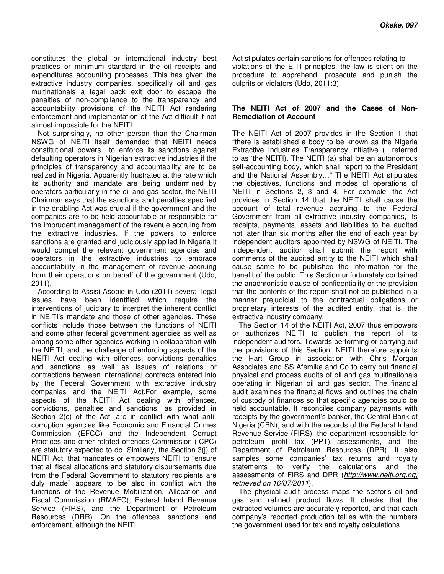constitutes the global or international industry best practices or minimum standard in the oil receipts and expenditures accounting processes. This has given the extractive industry companies, specifically oil and gas multinationals a legal back exit door to escape the penalties of non-compliance to the transparency and accountability provisions of the NEITI Act rendering enforcement and implementation of the Act difficult if not almost impossible for the NEITI.

Not surprisingly, no other person than the Chairman NSWG of NEITI itself demanded that NEITI needs constitutional powers to enforce its sanctions against defaulting operators in Nigerian extractive industries if the principles of transparency and accountability are to be realized in Nigeria. Apparently frustrated at the rate which its authority and mandate are being undermined by operators particularly in the oil and gas sector, the NEITI Chairman says that the sanctions and penalties specified in the enabling Act was crucial if the government and the companies are to be held accountable or responsible for the imprudent management of the revenue accruing from the extractive industries. If the powers to enforce sanctions are granted and judiciously applied in Nigeria it would compel the relevant government agencies and operators in the extractive industries to embrace accountability in the management of revenue accruing from their operations on behalf of the government (Udo, 2011).

According to Assisi Asobie in Udo (2011) several legal issues have been identified which require the interventions of judiciary to interpret the inherent conflict in NEITI's mandate and those of other agencies. These conflicts include those between the functions of NEITI and some other federal government agencies as well as among some other agencies working in collaboration with the NEITI, and the challenge of enforcing aspects of the NEITI Act dealing with offences, convictions penalties and sanctions as well as issues of relations or contractions between international contracts entered into by the Federal Government with extractive industry companies and the NEITI Act.For example, some aspects of the NEITI Act dealing with offences, convictions, penalties and sanctions, as provided in Section 2(c) of the Act, are in conflict with what anticorruption agencies like Economic and Financial Crimes Commission (EFCC) and the Independent Corrupt Practices and other related offences Commission (ICPC) are statutory expected to do. Similarly, the Section 3(j) of NEITI Act, that mandates or empowers NEITI to "ensure that all fiscal allocations and statutory disbursements due from the Federal Government to statutory recipients are duly made" appears to be also in conflict with the functions of the Revenue Mobilization, Allocation and Fiscal Commission (RMAFC), Federal Inland Revenue Service (FIRS), and the Department of Petroleum Resources (DRR). On the offences, sanctions and enforcement, although the NEITI

Act stipulates certain sanctions for offences relating to violations of the EITI principles, the law is silent on the procedure to apprehend, prosecute and punish the culprits or violators (Udo, 2011:3).

#### **The NEITI Act of 2007 and the Cases of Non-Remediation of Account**

The NEITI Act of 2007 provides in the Section 1 that "there is established a body to be known as the Nigeria Extractive Industries Transparency Initiative (…referred to as 'the NEITI). The NEITI (a) shall be an autonomous self-accounting body, which shall report to the President and the National Assembly…" The NEITI Act stipulates the objectives, functions and modes of operations of NEITI in Sections 2, 3 and 4. For example, the Act provides in Section 14 that the NEITI shall cause the account of total revenue accruing to the Federal Government from all extractive industry companies, its receipts, payments, assets and liabilities to be audited not later than six months after the end of each year by independent auditors appointed by NSWG of NEITI. The independent auditor shall submit the report with comments of the audited entity to the NEITI which shall cause same to be published the information for the benefit of the public. This Section unfortunately contained the anachronistic clause of confidentiality or the provision that the contents of the report shall not be published in a manner prejudicial to the contractual obligations or proprietary interests of the audited entity, that is, the extractive industry company.

The Section 14 of the NEITI Act, 2007 thus empowers or authorizes NEITI to publish the report of its independent auditors. Towards performing or carrying out the provisions of this Section, NEITI therefore appoints the Hart Group in association with Chris Morgan Associates and SS Afemike and Co to carry out financial physical and process audits of oil and gas multinationals operating in Nigerian oil and gas sector. The financial audit examines the financial flows and outlines the chain of custody of finances so that specific agencies could be held accountable. It reconciles company payments with receipts by the government's banker, the Central Bank of Nigeria (CBN), and with the records of the Federal Inland Revenue Service (FIRS), the department responsible for petroleum profit tax (PPT) assessments, and the Department of Petroleum Resources (DPR). It also samples some companies' tax returns and royalty statements to verify the calculations and the assessments of FIRS and DPR (*http://www.neiti.org.ng, retrieved on 16/07/2011*).

The physical audit process maps the sector's oil and gas and refined product flows. It checks that the extracted volumes are accurately reported, and that each company's reported production tallies with the numbers the government used for tax and royalty calculations.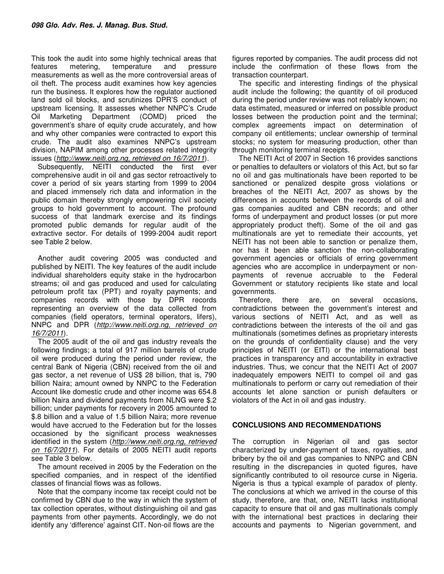This took the audit into some highly technical areas that features metering, temperature and pressure measurements as well as the more controversial areas of oil theft. The process audit examines how key agencies run the business. It explores how the regulator auctioned land sold oil blocks, and scrutinizes DPR'S conduct of upstream licensing. It assesses whether NNPC's Crude Oil Marketing Department (COMD) priced the government's share of equity crude accurately, and how and why other companies were contracted to export this crude. The audit also examines NNPC's upstream division, NAPIM among other processes related integrity issues (*http://www.neiti.org.ng, retrieved on 16/7/2011*).

Subsequently, NEITI conducted the first ever comprehensive audit in oil and gas sector retroactively to cover a period of six years starting from 1999 to 2004 and placed immensely rich data and information in the public domain thereby strongly empowering civil society groups to hold government to account. The profound success of that landmark exercise and its findings promoted public demands for regular audit of the extractive sector. For details of 1999-2004 audit report see Table 2 below.

Another audit covering 2005 was conducted and published by NEITI. The key features of the audit include individual shareholders equity stake in the hydrocarbon streams; oil and gas produced and used for calculating petroleum profit tax (PPT) and royalty payments; and companies records with those by DPR records representing an overview of the data collected from companies (field operators, terminal operators, lifers), NNPC and DPR (*http://www.neiti.org.ng, retrieved on 16/7/2011*).

The 2005 audit of the oil and gas industry reveals the following findings; a total of 917 million barrels of crude oil were produced during the period under review, the central Bank of Nigeria (CBN) received from the oil and gas sector, a net revenue of US\$ 28 billion, that is, 790 billion Naira; amount owned by NNPC to the Federation Account like domestic crude and other income was 654.8 billion Naira and dividend payments from NLNG were \$.2 billion; under payments for recovery in 2005 amounted to \$.8 billion and a value of 1.5 billion Naira; more revenue would have accrued to the Federation but for the losses occasioned by the significant process weaknesses identified in the system (*http://www.neiti.org.ng, retrieved on 16/7/2011*). For details of 2005 NEITI audit reports see Table 3 below.

The amount received in 2005 by the Federation on the specified companies, and in respect of the identified classes of financial flows was as follows.

Note that the company income tax receipt could not be confirmed by CBN due to the way in which the system of tax collection operates, without distinguishing oil and gas payments from other payments. Accordingly, we do not identify any 'difference' against CIT. Non-oil flows are the

figures reported by companies. The audit process did not include the confirmation of these flows from the transaction counterpart.

The specific and interesting findings of the physical audit include the following; the quantity of oil produced during the period under review was not reliably known; no data estimated, measured or inferred on possible product losses between the production point and the terminal; complex agreements impact on determination of company oil entitlements; unclear ownership of terminal stocks; no system for measuring production, other than through monitoring terminal receipts.

The NEITI Act of 2007 in Section 16 provides sanctions or penalties to defaulters or violators of this Act, but so far no oil and gas multinationals have been reported to be sanctioned or penalized despite gross violations or breaches of the NEITI Act, 2007 as shows by the differences in accounts between the records of oil and gas companies audited and CBN records; and other forms of underpayment and product losses (or put more appropriately product theft). Some of the oil and gas multinationals are yet to remediate their accounts, yet NEITI has not been able to sanction or penalize them, nor has it been able sanction the non-collaborating government agencies or officials of erring government agencies who are accomplice in underpayment or nonpayments of revenue accruable to the Federal Government or statutory recipients like state and local governments.

Therefore, there are, on several occasions, contradictions between the government's interest and various sections of NEITI Act, and as well as contradictions between the interests of the oil and gas multinationals (sometimes defines as proprietary interests on the grounds of confidentiality clause) and the very principles of NEITI (or EITI) or the international best practices in transparency and accountability in extractive industries. Thus, we concur that the NEITI Act of 2007 inadequately empowers NEITI to compel oil and gas multinationals to perform or carry out remediation of their accounts let alone sanction or punish defaulters or violators of the Act in oil and gas industry.

#### **CONCLUSIONS AND RECOMMENDATIONS**

The corruption in Nigerian oil and gas sector characterized by under-payment of taxes, royalties, and bribery by the oil and gas companies to NNPC and CBN resulting in the discrepancies in quoted figures, have significantly contributed to oil resource curse in Nigeria. Nigeria is thus a typical example of paradox of plenty. The conclusions at which we arrived in the course of this study, therefore, are that, one, NEITI lacks institutional capacity to ensure that oil and gas multinationals comply with the international best practices in declaring their accounts and payments to Nigerian government, and